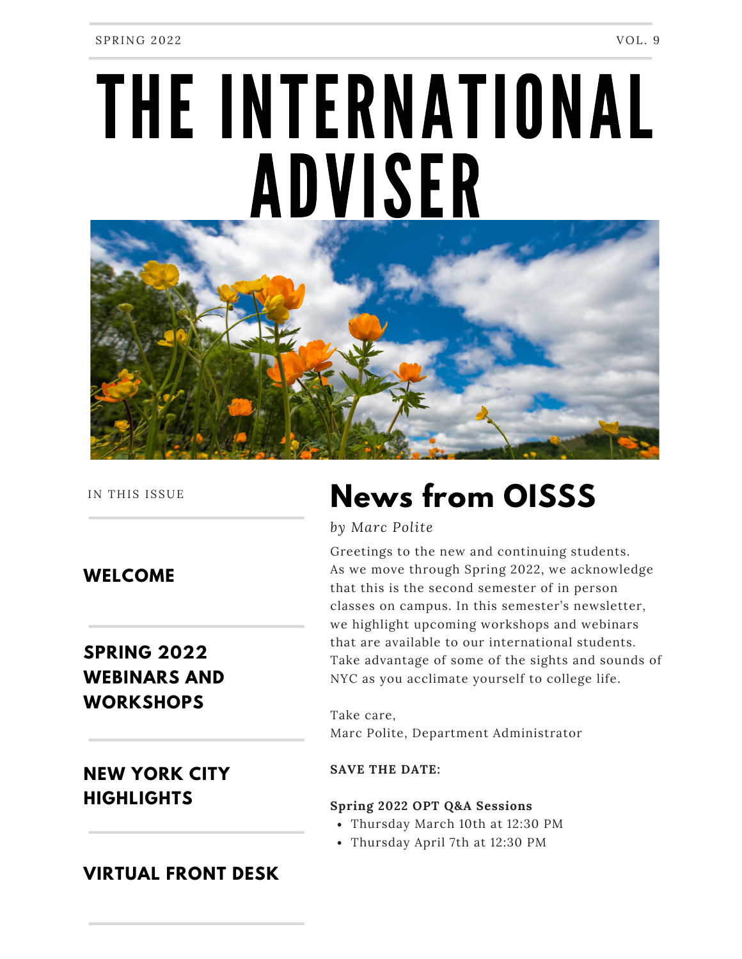# THE INTERNATIONAL ADVISER



IN THIS ISSUE

**WELCOME**

## **SPRING 2022 WEBINARS AND WORKSHOPS**

## **NEW YORK CITY HIGHLIGHTS**

## **News from OISSS**

*by Marc Polite*

Greetings to the new and continuing students. As we move through Spring 2022, we acknowledge that this is the second semester of in person classes on campus. In this semester's newsletter, we highlight upcoming workshops and webinars that are available to our international students. Take advantage of some of the sights and sounds of NYC as you acclimate yourself to college life.

Take care, Marc Polite, Department Administrator

#### **SAVE THE DATE:**

#### **Spring 2022 OPT Q&A Sessions**

- Thursday March 10th at 12:30 PM
- Thursday April 7th at 12:30 PM

### **VIRTUAL FRONT DESK**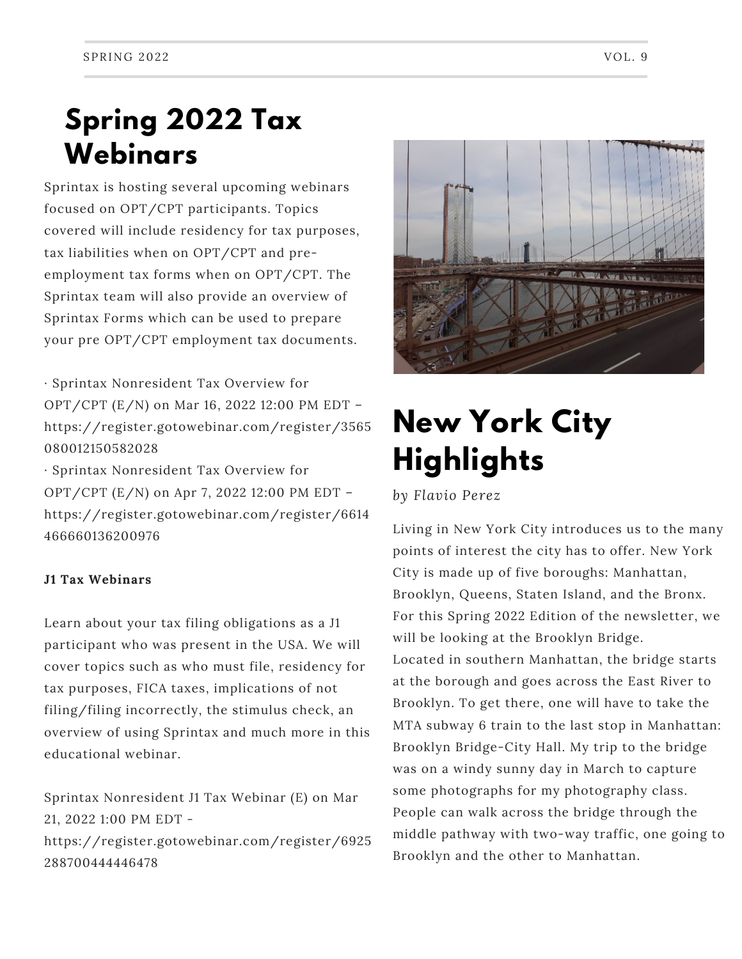## **Spring 2022 Tax Webinars**

Sprintax is hosting several upcoming webinars focused on OPT/CPT participants. Topics covered will include residency for tax purposes, tax liabilities when on OPT/CPT and preemployment tax forms when on OPT/CPT. The Sprintax team will also provide an overview of Sprintax Forms which can be used to prepare your pre OPT/CPT employment tax documents.

· Sprintax Nonresident Tax Overview for OPT/CPT (E/N) on Mar 16, 2022 12:00 PM EDT – https://register.gotowebinar.com/register/3565 080012150582028

· Sprintax Nonresident Tax Overview for OPT/CPT (E/N) on Apr 7, 2022 12:00 PM EDT – https://register.gotowebinar.com/register/6614 466660136200976

#### **J1 Tax Webinars**

Learn about your tax filing obligations as a J1 participant who was present in the USA. We will cover topics such as who must file, residency for tax purposes, FICA taxes, implications of not filing/filing incorrectly, the stimulus check, an overview of using Sprintax and much more in this educational webinar.

Sprintax Nonresident J1 Tax Webinar (E) on Mar 21, 2022 1:00 PM EDT https://register.gotowebinar.com/register/6925 288700444446478



# **New York City Highlights**

*by Flavio Perez*

Living in New York City introduces us to the many points of interest the city has to offer. New York City is made up of five boroughs: Manhattan, Brooklyn, Queens, Staten Island, and the Bronx. For this Spring 2022 Edition of the newsletter, we will be looking at the Brooklyn Bridge. Located in southern Manhattan, the bridge starts at the borough and goes across the East River to Brooklyn. To get there, one will have to take the MTA subway 6 train to the last stop in Manhattan: Brooklyn Bridge-City Hall. My trip to the bridge was on a windy sunny day in March to capture some photographs for my photography class. People can walk across the bridge through the middle pathway with two-way traffic, one going to Brooklyn and the other to Manhattan.